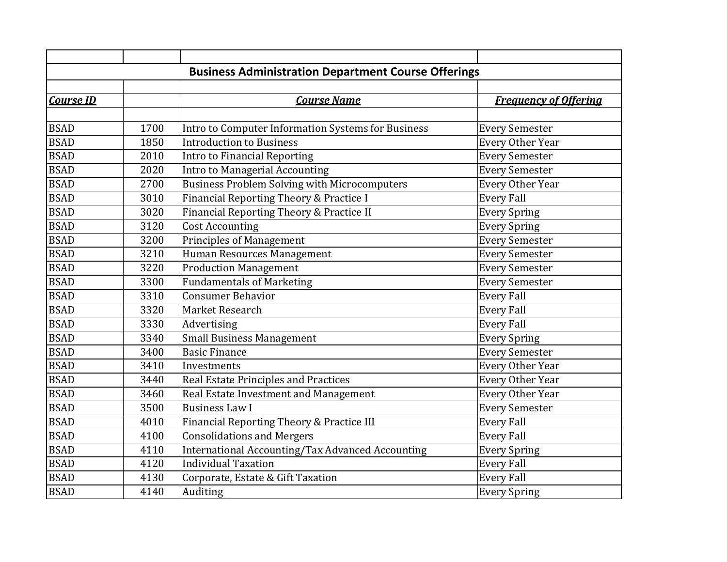| <b>Business Administration Department Course Offerings</b> |      |                                                     |                              |  |  |  |
|------------------------------------------------------------|------|-----------------------------------------------------|------------------------------|--|--|--|
|                                                            |      |                                                     |                              |  |  |  |
| <b>Course ID</b>                                           |      | <b>Course Name</b>                                  | <b>Frequency of Offering</b> |  |  |  |
|                                                            |      |                                                     |                              |  |  |  |
| <b>BSAD</b>                                                | 1700 | Intro to Computer Information Systems for Business  | <b>Every Semester</b>        |  |  |  |
| <b>BSAD</b>                                                | 1850 | <b>Introduction to Business</b>                     | <b>Every Other Year</b>      |  |  |  |
| <b>BSAD</b>                                                | 2010 | Intro to Financial Reporting                        | <b>Every Semester</b>        |  |  |  |
| <b>BSAD</b>                                                | 2020 | Intro to Managerial Accounting                      | <b>Every Semester</b>        |  |  |  |
| <b>BSAD</b>                                                | 2700 | <b>Business Problem Solving with Microcomputers</b> | <b>Every Other Year</b>      |  |  |  |
| <b>BSAD</b>                                                | 3010 | Financial Reporting Theory & Practice I             | <b>Every Fall</b>            |  |  |  |
| <b>BSAD</b>                                                | 3020 | Financial Reporting Theory & Practice II            | <b>Every Spring</b>          |  |  |  |
| <b>BSAD</b>                                                | 3120 | <b>Cost Accounting</b>                              | <b>Every Spring</b>          |  |  |  |
| <b>BSAD</b>                                                | 3200 | <b>Principles of Management</b>                     | <b>Every Semester</b>        |  |  |  |
| <b>BSAD</b>                                                | 3210 | Human Resources Management                          | <b>Every Semester</b>        |  |  |  |
| <b>BSAD</b>                                                | 3220 | <b>Production Management</b>                        | <b>Every Semester</b>        |  |  |  |
| <b>BSAD</b>                                                | 3300 | <b>Fundamentals of Marketing</b>                    | <b>Every Semester</b>        |  |  |  |
| <b>BSAD</b>                                                | 3310 | <b>Consumer Behavior</b>                            | <b>Every Fall</b>            |  |  |  |
| <b>BSAD</b>                                                | 3320 | Market Research                                     | <b>Every Fall</b>            |  |  |  |
| <b>BSAD</b>                                                | 3330 | Advertising                                         | <b>Every Fall</b>            |  |  |  |
| <b>BSAD</b>                                                | 3340 | <b>Small Business Management</b>                    | <b>Every Spring</b>          |  |  |  |
| <b>BSAD</b>                                                | 3400 | <b>Basic Finance</b>                                | <b>Every Semester</b>        |  |  |  |
| <b>BSAD</b>                                                | 3410 | Investments                                         | <b>Every Other Year</b>      |  |  |  |
| <b>BSAD</b>                                                | 3440 | Real Estate Principles and Practices                | <b>Every Other Year</b>      |  |  |  |
| <b>BSAD</b>                                                | 3460 | Real Estate Investment and Management               | <b>Every Other Year</b>      |  |  |  |
| <b>BSAD</b>                                                | 3500 | <b>Business Law I</b>                               | <b>Every Semester</b>        |  |  |  |
| <b>BSAD</b>                                                | 4010 | Financial Reporting Theory & Practice III           | <b>Every Fall</b>            |  |  |  |
| <b>BSAD</b>                                                | 4100 | <b>Consolidations and Mergers</b>                   | <b>Every Fall</b>            |  |  |  |
| <b>BSAD</b>                                                | 4110 | International Accounting/Tax Advanced Accounting    | <b>Every Spring</b>          |  |  |  |
| <b>BSAD</b>                                                | 4120 | <b>Individual Taxation</b>                          | <b>Every Fall</b>            |  |  |  |
| <b>BSAD</b>                                                | 4130 | Corporate, Estate & Gift Taxation                   | <b>Every Fall</b>            |  |  |  |
| <b>BSAD</b>                                                | 4140 | Auditing                                            | <b>Every Spring</b>          |  |  |  |